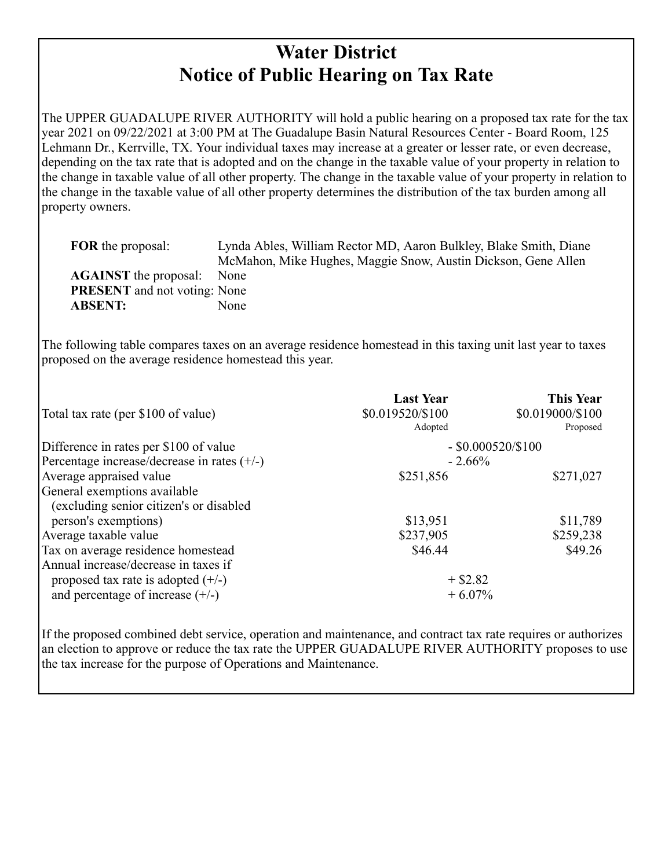## **Water District Notice of Public Hearing on Tax Rate**

The UPPER GUADALUPE RIVER AUTHORITY will hold a public hearing on a proposed tax rate for the tax year 2021 on 09/22/2021 at 3:00 PM at The Guadalupe Basin Natural Resources Center - Board Room, 125 Lehmann Dr., Kerrville, TX. Your individual taxes may increase at a greater or lesser rate, or even decrease, depending on the tax rate that is adopted and on the change in the taxable value of your property in relation to the change in taxable value of all other property. The change in the taxable value of your property in relation to the change in the taxable value of all other property determines the distribution of the tax burden among all property owners.

| <b>FOR</b> the proposal:            | Lynda Ables, William Rector MD, Aaron Bulkley, Blake Smith, Diane |
|-------------------------------------|-------------------------------------------------------------------|
|                                     | McMahon, Mike Hughes, Maggie Snow, Austin Dickson, Gene Allen     |
| <b>AGAINST</b> the proposal:        | None                                                              |
| <b>PRESENT</b> and not voting: None |                                                                   |
| <b>ABSENT:</b>                      | None                                                              |
|                                     |                                                                   |

The following table compares taxes on an average residence homestead in this taxing unit last year to taxes proposed on the average residence homestead this year.

| Total tax rate (per \$100 of value)           | <b>Last Year</b><br>\$0.019520/\$100<br>Adopted | <b>This Year</b><br>\$0.019000/\$100<br>Proposed |  |
|-----------------------------------------------|-------------------------------------------------|--------------------------------------------------|--|
| Difference in rates per \$100 of value        | $-$ \$0.000520/\$100                            |                                                  |  |
| Percentage increase/decrease in rates $(+/-)$ | $-2.66%$                                        |                                                  |  |
| Average appraised value                       | \$251,856                                       | \$271,027                                        |  |
| General exemptions available                  |                                                 |                                                  |  |
| (excluding senior citizen's or disabled)      |                                                 |                                                  |  |
| person's exemptions)                          | \$13,951                                        | \$11,789                                         |  |
| Average taxable value                         | \$237,905                                       | \$259,238                                        |  |
| Tax on average residence homestead            | \$46.44                                         | \$49.26                                          |  |
| Annual increase/decrease in taxes if          |                                                 |                                                  |  |
| proposed tax rate is adopted $(+/-)$          | $+$ \$2.82                                      |                                                  |  |
| and percentage of increase $(+/-)$            | $+6.07%$                                        |                                                  |  |

If the proposed combined debt service, operation and maintenance, and contract tax rate requires or authorizes an election to approve or reduce the tax rate the UPPER GUADALUPE RIVER AUTHORITY proposes to use the tax increase for the purpose of Operations and Maintenance.